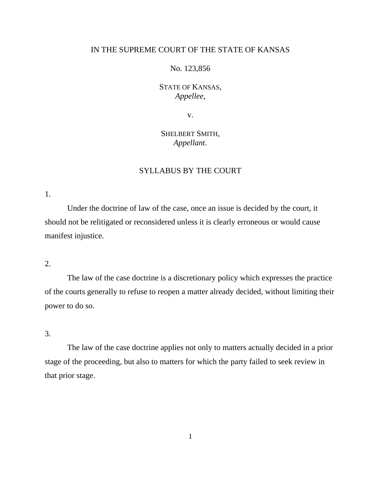## IN THE SUPREME COURT OF THE STATE OF KANSAS

### No. 123,856

## STATE OF KANSAS, *Appellee*,

v.

# SHELBERT SMITH, *Appellant*.

## SYLLABUS BY THE COURT

1.

Under the doctrine of law of the case, once an issue is decided by the court, it should not be relitigated or reconsidered unless it is clearly erroneous or would cause manifest injustice.

### 2.

The law of the case doctrine is a discretionary policy which expresses the practice of the courts generally to refuse to reopen a matter already decided, without limiting their power to do so.

3.

The law of the case doctrine applies not only to matters actually decided in a prior stage of the proceeding, but also to matters for which the party failed to seek review in that prior stage.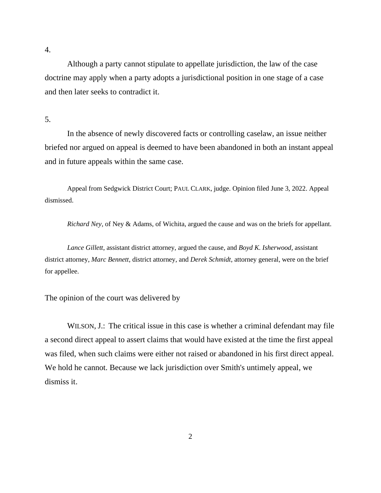4.

Although a party cannot stipulate to appellate jurisdiction, the law of the case doctrine may apply when a party adopts a jurisdictional position in one stage of a case and then later seeks to contradict it.

5.

In the absence of newly discovered facts or controlling caselaw, an issue neither briefed nor argued on appeal is deemed to have been abandoned in both an instant appeal and in future appeals within the same case.

Appeal from Sedgwick District Court; PAUL CLARK, judge. Opinion filed June 3, 2022. Appeal dismissed.

*Richard Ney,* of Ney & Adams, of Wichita, argued the cause and was on the briefs for appellant.

*Lance Gillett*, assistant district attorney, argued the cause, and *Boyd K. Isherwood,* assistant district attorney, *Marc Bennett*, district attorney, and *Derek Schmidt*, attorney general, were on the brief for appellee.

The opinion of the court was delivered by

WILSON, J.: The critical issue in this case is whether a criminal defendant may file a second direct appeal to assert claims that would have existed at the time the first appeal was filed, when such claims were either not raised or abandoned in his first direct appeal. We hold he cannot. Because we lack jurisdiction over Smith's untimely appeal, we dismiss it.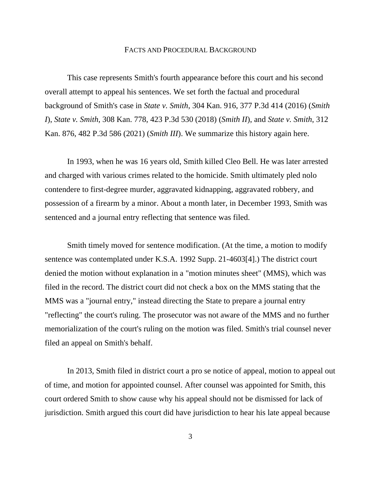#### FACTS AND PROCEDURAL BACKGROUND

This case represents Smith's fourth appearance before this court and his second overall attempt to appeal his sentences. We set forth the factual and procedural background of Smith's case in *State v. Smith*, 304 Kan. 916, 377 P.3d 414 (2016) (*Smith I*), *State v. Smith*, 308 Kan. 778, 423 P.3d 530 (2018) (*Smith II*), and *State v. Smith*, 312 Kan. 876, 482 P.3d 586 (2021) (*Smith III*). We summarize this history again here.

In 1993, when he was 16 years old, Smith killed Cleo Bell. He was later arrested and charged with various crimes related to the homicide. Smith ultimately pled nolo contendere to first-degree murder, aggravated kidnapping, aggravated robbery, and possession of a firearm by a minor. About a month later, in December 1993, Smith was sentenced and a journal entry reflecting that sentence was filed.

Smith timely moved for sentence modification. (At the time, a motion to modify sentence was contemplated under K.S.A. 1992 Supp. 21-4603[4].) The district court denied the motion without explanation in a "motion minutes sheet" (MMS), which was filed in the record. The district court did not check a box on the MMS stating that the MMS was a "journal entry," instead directing the State to prepare a journal entry "reflecting" the court's ruling. The prosecutor was not aware of the MMS and no further memorialization of the court's ruling on the motion was filed. Smith's trial counsel never filed an appeal on Smith's behalf.

In 2013, Smith filed in district court a pro se notice of appeal, motion to appeal out of time, and motion for appointed counsel. After counsel was appointed for Smith, this court ordered Smith to show cause why his appeal should not be dismissed for lack of jurisdiction. Smith argued this court did have jurisdiction to hear his late appeal because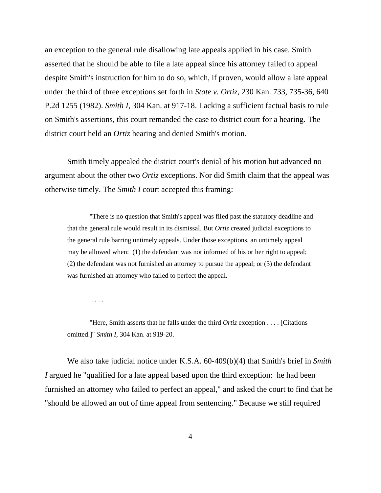an exception to the general rule disallowing late appeals applied in his case. Smith asserted that he should be able to file a late appeal since his attorney failed to appeal despite Smith's instruction for him to do so, which, if proven, would allow a late appeal under the third of three exceptions set forth in *State v. Ortiz*, 230 Kan. 733, 735-36, 640 P.2d 1255 (1982). *Smith I*, 304 Kan. at 917-18. Lacking a sufficient factual basis to rule on Smith's assertions, this court remanded the case to district court for a hearing. The district court held an *Ortiz* hearing and denied Smith's motion.

Smith timely appealed the district court's denial of his motion but advanced no argument about the other two *Ortiz* exceptions. Nor did Smith claim that the appeal was otherwise timely. The *Smith I* court accepted this framing:

"There is no question that Smith's appeal was filed past the statutory deadline and that the general rule would result in its dismissal. But *Ortiz* created judicial exceptions to the general rule barring untimely appeals. Under those exceptions, an untimely appeal may be allowed when: (1) the defendant was not informed of his or her right to appeal; (2) the defendant was not furnished an attorney to pursue the appeal; or (3) the defendant was furnished an attorney who failed to perfect the appeal.

. . . .

"Here, Smith asserts that he falls under the third *Ortiz* exception . . . . [Citations omitted.]" *Smith I,* 304 Kan. at 919-20.

We also take judicial notice under K.S.A. 60-409(b)(4) that Smith's brief in *Smith I* argued he "qualified for a late appeal based upon the third exception: he had been furnished an attorney who failed to perfect an appeal," and asked the court to find that he "should be allowed an out of time appeal from sentencing." Because we still required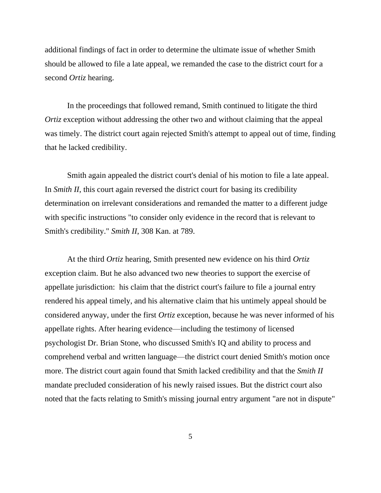additional findings of fact in order to determine the ultimate issue of whether Smith should be allowed to file a late appeal, we remanded the case to the district court for a second *Ortiz* hearing.

In the proceedings that followed remand, Smith continued to litigate the third *Ortiz* exception without addressing the other two and without claiming that the appeal was timely. The district court again rejected Smith's attempt to appeal out of time, finding that he lacked credibility.

Smith again appealed the district court's denial of his motion to file a late appeal. In *Smith II*, this court again reversed the district court for basing its credibility determination on irrelevant considerations and remanded the matter to a different judge with specific instructions "to consider only evidence in the record that is relevant to Smith's credibility." *Smith II*, 308 Kan. at 789.

At the third *Ortiz* hearing, Smith presented new evidence on his third *Ortiz* exception claim. But he also advanced two new theories to support the exercise of appellate jurisdiction: his claim that the district court's failure to file a journal entry rendered his appeal timely, and his alternative claim that his untimely appeal should be considered anyway, under the first *Ortiz* exception, because he was never informed of his appellate rights. After hearing evidence—including the testimony of licensed psychologist Dr. Brian Stone, who discussed Smith's IQ and ability to process and comprehend verbal and written language—the district court denied Smith's motion once more. The district court again found that Smith lacked credibility and that the *Smith II* mandate precluded consideration of his newly raised issues. But the district court also noted that the facts relating to Smith's missing journal entry argument "are not in dispute"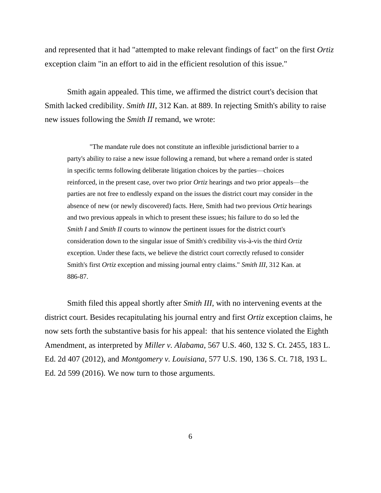and represented that it had "attempted to make relevant findings of fact" on the first *Ortiz* exception claim "in an effort to aid in the efficient resolution of this issue."

Smith again appealed. This time, we affirmed the district court's decision that Smith lacked credibility. *Smith III*, 312 Kan. at 889. In rejecting Smith's ability to raise new issues following the *Smith II* remand, we wrote:

"The mandate rule does not constitute an inflexible jurisdictional barrier to a party's ability to raise a new issue following a remand, but where a remand order is stated in specific terms following deliberate litigation choices by the parties—choices reinforced, in the present case, over two prior *Ortiz* hearings and two prior appeals—the parties are not free to endlessly expand on the issues the district court may consider in the absence of new (or newly discovered) facts. Here, Smith had two previous *Ortiz* hearings and two previous appeals in which to present these issues; his failure to do so led the *Smith I* and *Smith II* courts to winnow the pertinent issues for the district court's consideration down to the singular issue of Smith's credibility vis-à-vis the third *Ortiz* exception. Under these facts, we believe the district court correctly refused to consider Smith's first *Ortiz* exception and missing journal entry claims." *Smith III*, 312 Kan. at 886-87.

Smith filed this appeal shortly after *Smith III*, with no intervening events at the district court. Besides recapitulating his journal entry and first *Ortiz* exception claims, he now sets forth the substantive basis for his appeal: that his sentence violated the Eighth Amendment, as interpreted by *Miller v. Alabama*, 567 U.S. 460, 132 S. Ct. 2455, 183 L. Ed. 2d 407 (2012), and *Montgomery v. Louisiana*, 577 U.S. 190, 136 S. Ct. 718, 193 L. Ed. 2d 599 (2016). We now turn to those arguments.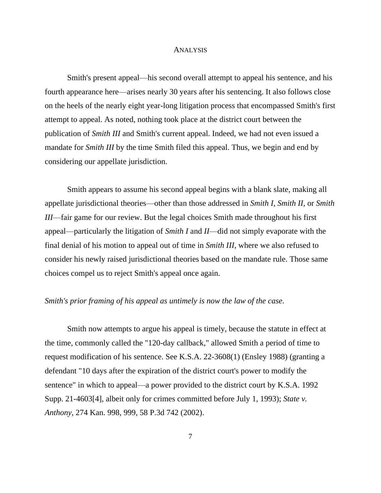#### ANALYSIS

Smith's present appeal—his second overall attempt to appeal his sentence, and his fourth appearance here—arises nearly 30 years after his sentencing. It also follows close on the heels of the nearly eight year-long litigation process that encompassed Smith's first attempt to appeal. As noted, nothing took place at the district court between the publication of *Smith III* and Smith's current appeal. Indeed, we had not even issued a mandate for *Smith III* by the time Smith filed this appeal. Thus, we begin and end by considering our appellate jurisdiction.

Smith appears to assume his second appeal begins with a blank slate, making all appellate jurisdictional theories—other than those addressed in *Smith I*, *Smith II*, or *Smith III*—fair game for our review. But the legal choices Smith made throughout his first appeal—particularly the litigation of *Smith I* and *II*—did not simply evaporate with the final denial of his motion to appeal out of time in *Smith III*, where we also refused to consider his newly raised jurisdictional theories based on the mandate rule. Those same choices compel us to reject Smith's appeal once again.

#### *Smith's prior framing of his appeal as untimely is now the law of the case*.

Smith now attempts to argue his appeal is timely, because the statute in effect at the time, commonly called the "120-day callback," allowed Smith a period of time to request modification of his sentence. See K.S.A. 22-3608(1) (Ensley 1988) (granting a defendant "10 days after the expiration of the district court's power to modify the sentence" in which to appeal—a power provided to the district court by K.S.A. 1992 Supp. 21-4603[4], albeit only for crimes committed before July 1, 1993); *State v. Anthony*, 274 Kan. 998, 999, 58 P.3d 742 (2002).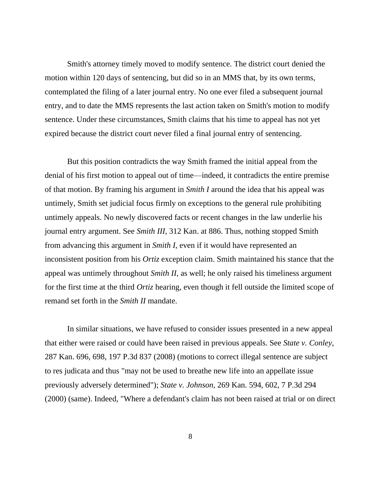Smith's attorney timely moved to modify sentence. The district court denied the motion within 120 days of sentencing, but did so in an MMS that, by its own terms, contemplated the filing of a later journal entry. No one ever filed a subsequent journal entry, and to date the MMS represents the last action taken on Smith's motion to modify sentence. Under these circumstances, Smith claims that his time to appeal has not yet expired because the district court never filed a final journal entry of sentencing.

But this position contradicts the way Smith framed the initial appeal from the denial of his first motion to appeal out of time—indeed, it contradicts the entire premise of that motion. By framing his argument in *Smith I* around the idea that his appeal was untimely, Smith set judicial focus firmly on exceptions to the general rule prohibiting untimely appeals. No newly discovered facts or recent changes in the law underlie his journal entry argument. See *Smith III*, 312 Kan. at 886. Thus, nothing stopped Smith from advancing this argument in *Smith I*, even if it would have represented an inconsistent position from his *Ortiz* exception claim. Smith maintained his stance that the appeal was untimely throughout *Smith II*, as well; he only raised his timeliness argument for the first time at the third *Ortiz* hearing, even though it fell outside the limited scope of remand set forth in the *Smith II* mandate.

In similar situations, we have refused to consider issues presented in a new appeal that either were raised or could have been raised in previous appeals. See *State v. Conley*, 287 Kan. 696, 698, 197 P.3d 837 (2008) (motions to correct illegal sentence are subject to res judicata and thus "may not be used to breathe new life into an appellate issue previously adversely determined"); *State v. Johnson*, 269 Kan. 594, 602, 7 P.3d 294 (2000) (same). Indeed, "Where a defendant's claim has not been raised at trial or on direct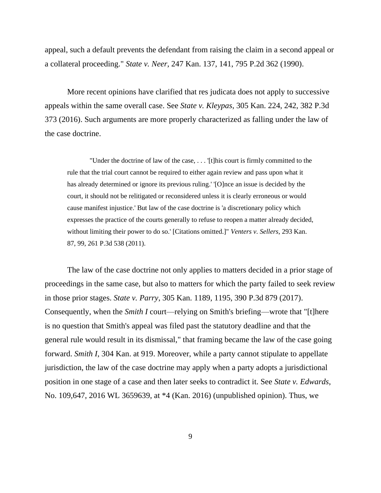appeal, such a default prevents the defendant from raising the claim in a second appeal or a collateral proceeding." *State v. Neer*, 247 Kan. 137, 141, 795 P.2d 362 (1990).

More recent opinions have clarified that res judicata does not apply to successive appeals within the same overall case. See *State v. Kleypas*, 305 Kan. 224, 242, 382 P.3d 373 (2016). Such arguments are more properly characterized as falling under the law of the case doctrine.

"Under the doctrine of law of the case, . . . '[t]his court is firmly committed to the rule that the trial court cannot be required to either again review and pass upon what it has already determined or ignore its previous ruling.' '[O]nce an issue is decided by the court, it should not be relitigated or reconsidered unless it is clearly erroneous or would cause manifest injustice.' But law of the case doctrine is 'a discretionary policy which expresses the practice of the courts generally to refuse to reopen a matter already decided, without limiting their power to do so.' [Citations omitted.]" *Venters v. Sellers*, 293 Kan. 87, 99, 261 P.3d 538 (2011).

The law of the case doctrine not only applies to matters decided in a prior stage of proceedings in the same case, but also to matters for which the party failed to seek review in those prior stages. *State v. Parry*, 305 Kan. 1189, 1195, 390 P.3d 879 (2017). Consequently, when the *Smith I* court—relying on Smith's briefing—wrote that "[t]here is no question that Smith's appeal was filed past the statutory deadline and that the general rule would result in its dismissal," that framing became the law of the case going forward. *Smith I*, 304 Kan. at 919. Moreover, while a party cannot stipulate to appellate jurisdiction, the law of the case doctrine may apply when a party adopts a jurisdictional position in one stage of a case and then later seeks to contradict it. See *State v. Edwards*, No. 109,647, 2016 WL 3659639, at \*4 (Kan. 2016) (unpublished opinion). Thus, we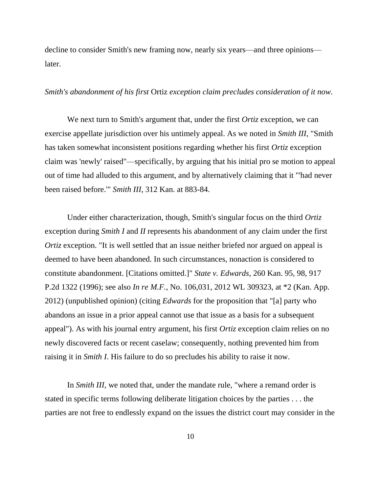decline to consider Smith's new framing now, nearly six years—and three opinions later.

#### *Smith's abandonment of his first* Ortiz *exception claim precludes consideration of it now.*

We next turn to Smith's argument that, under the first *Ortiz* exception, we can exercise appellate jurisdiction over his untimely appeal. As we noted in *Smith III*, "Smith has taken somewhat inconsistent positions regarding whether his first *Ortiz* exception claim was 'newly' raised"—specifically, by arguing that his initial pro se motion to appeal out of time had alluded to this argument, and by alternatively claiming that it "'had never been raised before.'" *Smith III*, 312 Kan. at 883-84.

Under either characterization, though, Smith's singular focus on the third *Ortiz* exception during *Smith I* and *II* represents his abandonment of any claim under the first *Ortiz* exception. "It is well settled that an issue neither briefed nor argued on appeal is deemed to have been abandoned. In such circumstances, nonaction is considered to constitute abandonment. [Citations omitted.]" *State v. Edwards*, 260 Kan. 95, 98, 917 P.2d 1322 (1996); see also *In re M.F.*, No. 106,031, 2012 WL 309323, at \*2 (Kan. App. 2012) (unpublished opinion) (citing *Edwards* for the proposition that "[a] party who abandons an issue in a prior appeal cannot use that issue as a basis for a subsequent appeal"). As with his journal entry argument, his first *Ortiz* exception claim relies on no newly discovered facts or recent caselaw; consequently, nothing prevented him from raising it in *Smith I*. His failure to do so precludes his ability to raise it now.

In *Smith III*, we noted that, under the mandate rule, "where a remand order is stated in specific terms following deliberate litigation choices by the parties . . . the parties are not free to endlessly expand on the issues the district court may consider in the